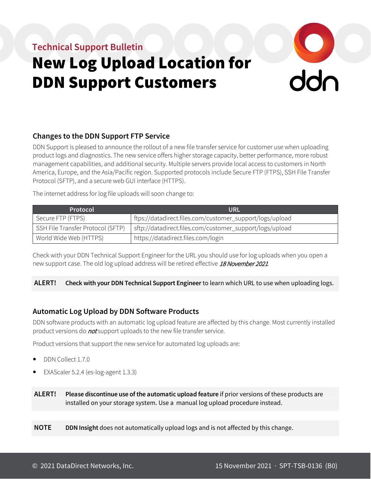# **Technical Support Bulletin**

# New Log Upload Location for DDN Support Customers

# $\frac{1}{2}$

# **Changes to the DDN Support FTP Service**

DDN Support is pleased to announce the rollout of a new file transfer service for customer use when uploading product logs and diagnostics. The new service offers higher storage capacity, better performance, more robust management capabilities, and additional security. Multiple servers provide local access to customers in North America, Europe, and the Asia/Pacific region. Supported protocols include Secure FTP (FTPS), SSH File Transfer Protocol (SFTP), and a secure web GUI interface (HTTPS).

The internet address for log file uploads will soon change to:

| Protocol                          | <b>URL</b>                                               |
|-----------------------------------|----------------------------------------------------------|
| Secure FTP (FTPS)                 | ftps://datadirect.files.com/customer_support/logs/upload |
| SSH File Transfer Protocol (SFTP) | sftp://datadirect.files.com/customer_support/logs/upload |
| World Wide Web (HTTPS)            | https://datadirect.files.com/login                       |

Check with your DDN Technical Support Engineer for the URL you should use for log uploads when you open a new support case. The old log upload address will be retired effective 18 November 2021.

# **ALERT! Check with your DDN Technical Support Engineer** to learn which URL to use when uploading logs.

# **Automatic Log Upload by DDN Software Products**

DDN software products with an automatic log upload feature are affected by this change. Most currently installed product versions do *not* support uploads to the new file transfer service.

Product versions that support the new service for automated log uploads are:

- DDN Collect 1.7.0
- EXAScaler 5.2.4 (es-log-agent 1.3.3)

**ALERT! Please discontinue use of the automatic upload feature** if prior versions of these products are installed on your storage system. Use a manual log upload procedure instead.

**NOTE DDN Insight** does not automatically upload logs and is not affected by this change.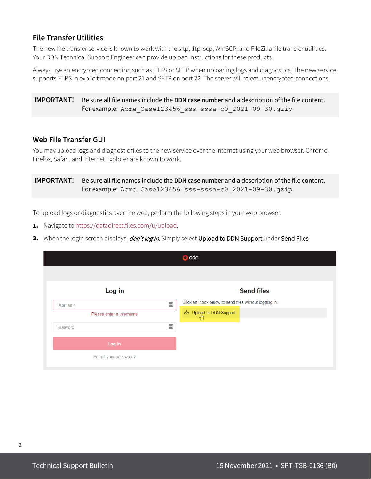# **File Transfer Utilities**

The new file transfer service is known to work with the sftp, lftp, scp, WinSCP, and FileZilla file transfer utilities. Your DDN Technical Support Engineer can provide upload instructions for these products.

Always use an encrypted connection such as FTPS or SFTP when uploading logs and diagnostics. The new service supports FTPS in explicit mode on port 21 and SFTP on port 22. The server will reject unencrypted connections.

**IMPORTANT!** Be sure all file names include the **DDN case number** and a description of the file content. For example: Acme\_Case123456\_sss-sssa-c0\_2021-09-30.gzip

# **Web File Transfer GUI**

You may upload logs and diagnostic files to the new service over the internet using your web browser. Chrome, Firefox, Safari, and Internet Explorer are known to work.

**IMPORTANT!** Be sure all file names include the **DDN case number** and a description of the file content. For example: Acme Case123456 sss-sssa-c0 2021-09-30.gzip

To upload logs or diagnostics over the web, perform the following steps in your web browser.

- 1. Navigate to https://datadirect.files.com/u/upload.
- 2. When the login screen displays, *don't log in*. Simply select Upload to DDN Support under Send Files.

|          |                          | <b>O</b> ddn                                           |                   |
|----------|--------------------------|--------------------------------------------------------|-------------------|
|          |                          |                                                        |                   |
|          | Log in                   |                                                        | <b>Send files</b> |
| Username | $\left  \cdots \right $  | Click an Inbox below to send files without logging in. |                   |
|          | Please enter a username  | Upload to DDN Support                                  |                   |
| Password | $\overline{\phantom{a}}$ |                                                        |                   |
|          | Log in                   |                                                        |                   |
|          | Forgot your password?    |                                                        |                   |
|          |                          |                                                        |                   |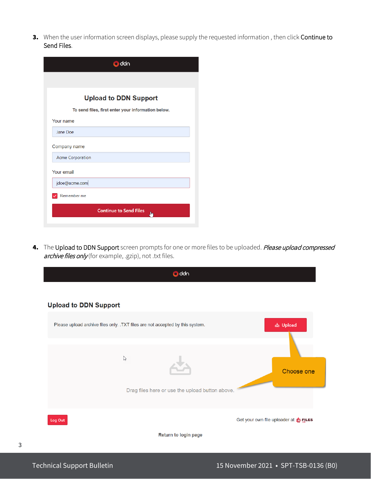3. When the user information screen displays, please supply the requested information, then click Continue to Send Files.

| <b>D</b> ddn                                       |  |  |  |  |  |  |
|----------------------------------------------------|--|--|--|--|--|--|
|                                                    |  |  |  |  |  |  |
| <b>Upload to DDN Support</b>                       |  |  |  |  |  |  |
| To send files, first enter your information below. |  |  |  |  |  |  |
| Your name                                          |  |  |  |  |  |  |
| Jane Doe                                           |  |  |  |  |  |  |
| Company name                                       |  |  |  |  |  |  |
| <b>Acme Corporation</b>                            |  |  |  |  |  |  |
| Your email                                         |  |  |  |  |  |  |
| jdoe@acme.com                                      |  |  |  |  |  |  |
| Remember me                                        |  |  |  |  |  |  |
| <b>Continue to Send Files</b><br>յիդ               |  |  |  |  |  |  |
|                                                    |  |  |  |  |  |  |

4. The Upload to DDN Support screen prompts for one or more files to be uploaded. Please upload compressed archive files only (for example, .gzip), not .txt files.

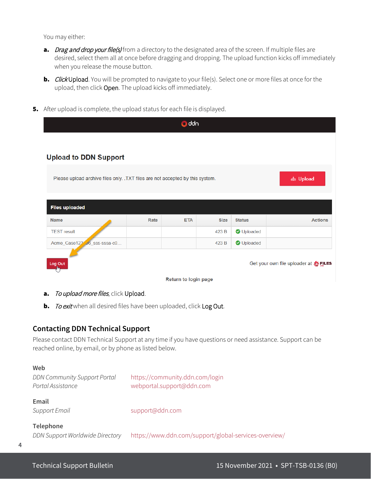You may either:

- a. Drag and drop your file(s) from a directory to the designated area of the screen. If multiple files are desired, select them all at once before dragging and dropping. The upload function kicks off immediately when you release the mouse button.
- **b.** Click Upload. You will be prompted to navigate to your file(s). Select one or more files at once for the upload, then click Open. The upload kicks off immediately.
- **5.** After upload is complete, the upload status for each file is displayed.

| <b>O</b> ddn                                                                               |      |            |             |               |                                      |  |  |  |  |
|--------------------------------------------------------------------------------------------|------|------------|-------------|---------------|--------------------------------------|--|--|--|--|
|                                                                                            |      |            |             |               |                                      |  |  |  |  |
| <b>Upload to DDN Support</b>                                                               |      |            |             |               |                                      |  |  |  |  |
|                                                                                            |      |            |             |               |                                      |  |  |  |  |
| Please upload archive files only. . TXT files are not accepted by this system.<br>소 Upload |      |            |             |               |                                      |  |  |  |  |
|                                                                                            |      |            |             |               |                                      |  |  |  |  |
| <b>Files uploaded</b>                                                                      |      |            |             |               |                                      |  |  |  |  |
| <b>Name</b>                                                                                | Rate | <b>ETA</b> | <b>Size</b> | <b>Status</b> | <b>Actions</b>                       |  |  |  |  |
| <b>TEST result</b>                                                                         |      |            | 423 B       | O Uploaded    |                                      |  |  |  |  |
| Acme_Case123 06_sss-sssa-c0                                                                |      |            | 423 B       | O Uploaded    |                                      |  |  |  |  |
|                                                                                            |      |            |             |               |                                      |  |  |  |  |
| Log Out                                                                                    |      |            |             |               | Get your own file uploader at SELLES |  |  |  |  |
| Return to login page                                                                       |      |            |             |               |                                      |  |  |  |  |

## a. To upload more files, click Upload.

**b.** To exit when all desired files have been uploaded, click Log Out.

# **Contacting DDN Technical Support**

Please contact DDN Technical Support at any time if you have questions or need assistance. Support can be reached online, by email, or by phone as listed below.

#### **Web**

*DDN Community Support Portal* <https://community.ddn.com/login> *Portal Assistance* [webportal.support@ddn.com](mailto:webportal.support@ddn.com)

# **Email**

*Support Email* [support@ddn.com](mailto:support@ddn.com)

#### **Telephone**

*DDN Support Worldwide Directory* <https://www.ddn.com/support/global-services-overview/>